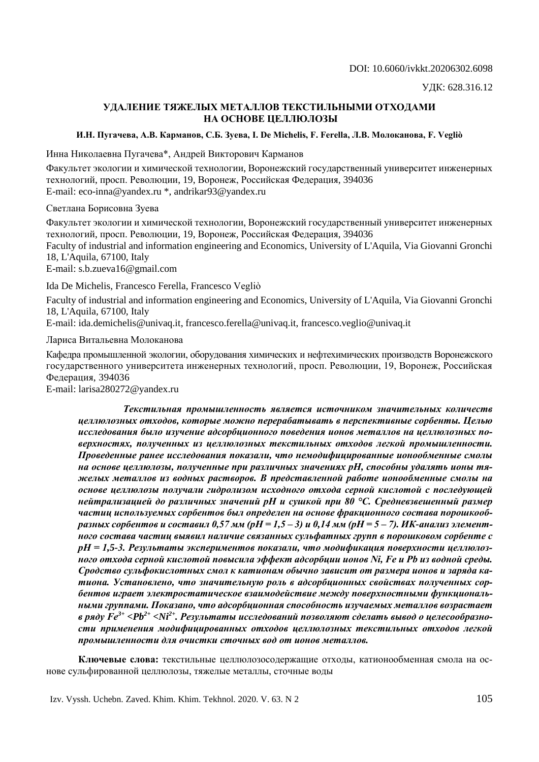# **УДАЛЕНИЕ ТЯЖЕЛЫХ МЕТАЛЛОВ ТЕКСТИЛЬНЫМИ ОТХОДАМИ НА ОСНОВЕ ЦЕЛЛЮЛОЗЫ**

## **И.Н. Пугачева, А.В. Карманов, С.Б. Зуева, I. De Michelis, F. Ferella, Л.В. Молоканова, F. Vegliò**

Инна Николаевна Пугачева\*, Андрей Викторович Карманов

Факультет экологии и химической технологии, Воронежский государственный университет инженерных технологий, просп. Революции, 19, Воронеж, Российская Федерация, 394036 E-mail: eco-inna@yandex.ru \*, andrikar93@yandex.ru

Светлана Борисовна Зуева

Факультет экологии и химической технологии, Воронежский государственный университет инженерных технологий, просп. Революции, 19, Воронеж, Российская Федерация, 394036 Faculty of industrial and information engineering and Economics, University of L'Aquila, Via Giovanni Gronchi 18, L'Aquila, 67100, Italy E-mail: s.b.zueva16@gmail.com

Ida De Michelis, Francesco Ferella, Francesco Vegliò

Faculty of industrial and information engineering and Economics, University of L'Aquila, Via Giovanni Gronchi 18, L'Aquila, 67100, Italy

E-mail: ida.demichelis@univaq.it, francesco.ferella@univaq.it, francesco.veglio@univaq.it

Лариса Витальевна Молоканова

Кафедра промышленной экологии, оборудования химических и нефтехимических производств Воронежского государственного университета инженерных технологий, просп. Революции, 19, Воронеж, Российская Федерация, 394036

E-mail: larisa280272@yandex.ru

*Текстильная промышленность является источником значительных количеств целлюлозных отходов, которые можно перерабатывать в перспективные сорбенты. Целью исследования было изучение адсорбционного поведения ионов металлов на целлюлозных поверхностях, полученных из целлюлозных текстильных отходов легкой промышленности. Проведенные ранее исследования показали, что немодифицированные ионообменные смолы на основе целлюлозы, полученные при различных значениях pH, способны удалять ионы тяжелых металлов из водных растворов. В представленной работе ионообменные смолы на основе целлюлозы получали гидролизом исходного отхода серной кислотой с последующей нейтрализацией до различных значений pH и сушкой при 80 °С. Средневзвешенный размер частиц используемых сорбентов был определен на основе фракционного состава порошкообразных сорбентов и составил 0,57 мм (рН = 1,5 – 3) и 0,14 мм (рН = 5 – 7). ИК-анализ элементного состава частиц выявил наличие связанных сульфатных групп в порошковом сорбенте с рН = 1,5-3. Результаты экспериментов показали, что модификация поверхности целлюлозного отхода серной кислотой повысила эффект адсорбции ионов Ni, Fe и Pb из водной среды. Сродство сульфокислотных смол к катионам обычно зависит от размера ионов и заряда катиона. Установлено, что значительную роль в адсорбционных свойствах полученных сорбентов играет электростатическое взаимодействие между поверхностными функциональными группами. Показано, что адсорбционная способность изучаемых металлов возрастает в ряду Fe3+ <Pb2+ <Ni2+. Результаты исследований позволяют сделать вывод о целесообразности применения модифицированных отходов целлюлозных текстильных отходов легкой промышленности для очистки сточных вод от ионов металлов.*

**Ключевые слова:** текстильные целлюлозосодержащие отходы, катионообменная смола на основе сульфированной целлюлозы, тяжелые металлы, сточные воды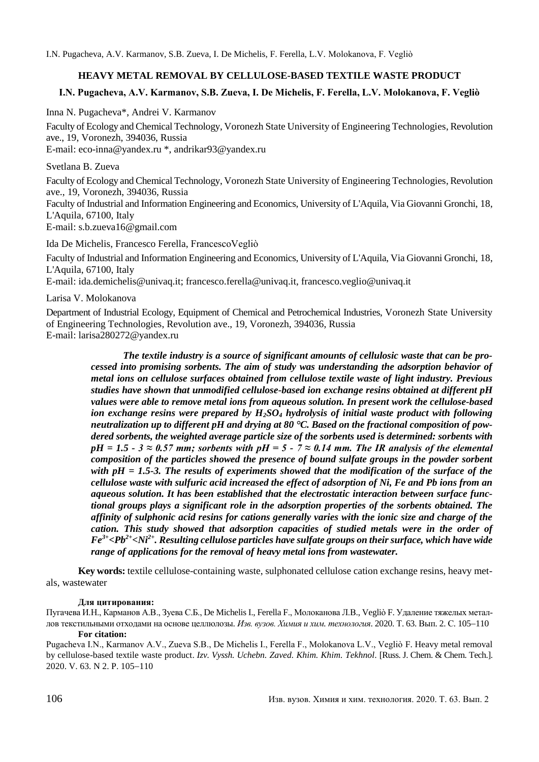# **HEAVY METAL REMOVAL BY CELLULOSE-BASED TEXTILE WASTE PRODUCT**

# **I.N. Pugacheva, A.V. Karmanov, S.B. Zueva, I. De Michelis, F. Ferella, L.V. Molokanova, F. Vegliò**

Inna N. Pugacheva\*, Andrei V. Karmanov

Faculty of Ecology and Chemical Technology, Voronezh State University of Engineering Technologies, Revolution ave., 19, Voronezh, 394036, Russia

E-mail: eco-inna@yandex.ru \*, andrikar93@yandex.ru

## Svetlana B. Zueva

Faculty of Ecology and Chemical Technology, Voronezh State University of Engineering Technologies, Revolution ave., 19, Voronezh, 394036, Russia Faculty of Industrial and Information Engineering and Economics, University of L'Aquila, Via Giovanni Gronchi, 18, L'Aquila, 67100, Italy E-mail: s.b.zueva16@gmail.com

Ida De Michelis, Francesco Ferella, FrancescoVegliò

Faculty of Industrial and Information Engineering and Economics, University of L'Aquila, Via Giovanni Gronchi, 18, L'Aquila, 67100, Italy

E-mail: ida.demichelis@univaq.it; francesco.ferella@univaq.it, francesco.veglio@univaq.it

Larisa V. Molokanova

Department of Industrial Ecology, Equipment of Chemical and Petrochemical Industries, Voronezh State University of Engineering Technologies, Revolution ave., 19, Voronezh, 394036, Russia E-mail: larisa280272@yandex.ru

*The textile industry is a source of significant amounts of cellulosic waste that can be processed into promising sorbents. The aim of study was understanding the adsorption behavior of metal ions on cellulose surfaces obtained from cellulose textile waste of light industry. Previous studies have shown that unmodified cellulose-based ion exchange resins obtained at different pH values were able to remove metal ions from aqueous solution. In present work the cellulose-based ion exchange resins were prepared by H2SO<sup>4</sup> hydrolysis of initial waste product with following neutralization up to different pH and drying at 80 °C. Based on the fractional composition of powdered sorbents, the weighted average particle size of the sorbents used is determined: sorbents with*   $pH = 1.5 - 3 \approx 0.57$  mm; sorbents with  $pH = 5 - 7 \approx 0.14$  mm. The IR analysis of the elemental *composition of the particles showed the presence of bound sulfate groups in the powder sorbent with pH = 1.5-3. The results of experiments showed that the modification of the surface of the cellulose waste with sulfuric acid increased the effect of adsorption of Ni, Fe and Pb ions from an aqueous solution. It has been established that the electrostatic interaction between surface functional groups plays a significant role in the adsorption properties of the sorbents obtained. The affinity of sulphonic acid resins for cations generally varies with the ionic size and charge of the cation. This study showed that adsorption capacities of studied metals were in the order of Fe3+<Pb2+<Ni2+. Resulting cellulose particles have sulfate groups on their surface, which have wide range of applications for the removal of heavy metal ions from wastewater.*

**Key words:** textile cellulose-containing waste, sulphonated cellulose cation exchange resins, heavy metals, wastewater

#### **Для цитирования:**

Пугачева И.Н., Карманов А.В., Зуева С.Б., De Michelis I., Ferella F., Молоканова Л.В., Vegliò F. Удаление тяжелых металлов текстильными отходами на основе целлюлозы. Изв. вузов. Химия и хим. технология. 2020. Т. 63. Вып. 2. С. 105-110 **For citation:**

Pugacheva I.N., Karmanov A.V., Zueva S.B., De Michelis I., Ferella F., Molokanova L.V., Vegliò F. Heavy metal removal by cellulose-based textile waste product. *Izv. Vyssh. Uchebn. Zaved. Khim. Khim. Tekhnol*. [Russ. J. Chem. & Chem. Tech.]. 2020. V. 63. N 2. P. 105-110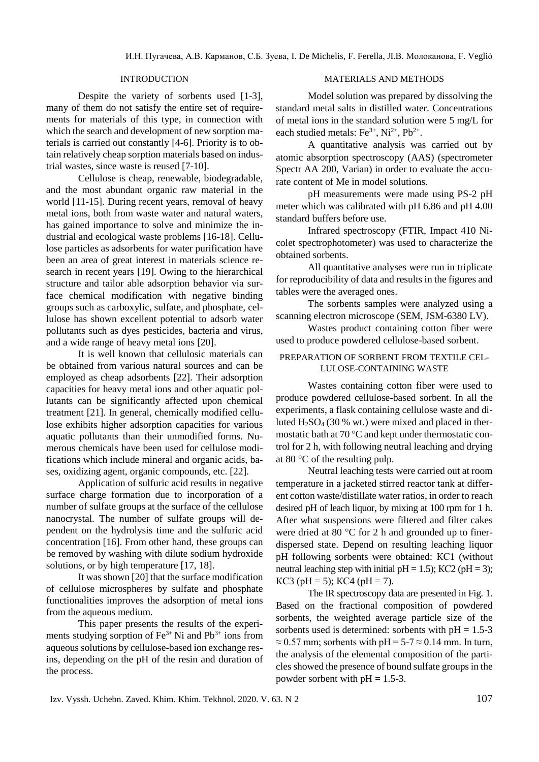## INTRODUCTION

Despite the variety of sorbents used [1-3], many of them do not satisfy the entire set of requirements for materials of this type, in connection with which the search and development of new sorption materials is carried out constantly [4-6]. Priority is to obtain relatively cheap sorption materials based on industrial wastes, since waste is reused [7-10].

Cellulose is cheap, renewable, biodegradable, and the most abundant organic raw material in the world [11-15]. During recent years, removal of heavy metal ions, both from waste water and natural waters, has gained importance to solve and minimize the industrial and ecological waste problems [16-18]. Cellulose particles as adsorbents for water purification have been an area of great interest in materials science research in recent years [19]. Owing to the hierarchical structure and tailor able adsorption behavior via surface chemical modification with negative binding groups such as carboxylic, sulfate, and phosphate, cellulose has shown excellent potential to adsorb water pollutants such as dyes pesticides, bacteria and virus, and a wide range of heavy metal ions [20].

It is well known that cellulosic materials can be obtained from various natural sources and can be employed as cheap adsorbents [22]. Their adsorption capacities for heavy metal ions and other aquatic pollutants can be significantly affected upon chemical treatment [21]. In general, chemically modified cellulose exhibits higher adsorption capacities for various aquatic pollutants than their unmodified forms. Numerous chemicals have been used for cellulose modifications which include mineral and organic acids, bases, oxidizing agent, organic compounds, etc. [22].

Application of sulfuric acid results in negative surface charge formation due to incorporation of a number of sulfate groups at the surface of the cellulose nanocrystal. The number of sulfate groups will dependent on the hydrolysis time and the sulfuric acid concentration [16]. From other hand, these groups can be removed by washing with dilute sodium hydroxide solutions, or by high temperature [17, 18].

It was shown [20] that the surface modification of cellulose microspheres by sulfate and phosphate functionalities improves the adsorption of metal ions from the aqueous medium.

This paper presents the results of the experiments studying sorption of  $Fe^{3+}$  Ni and  $Pb^{3+}$  ions from aqueous solutions by cellulose-based ion exchange resins, depending on the pH of the resin and duration of the process.

## MATERIALS AND METHODS

Model solution was prepared by dissolving the standard metal salts in distilled water. Concentrations of metal ions in the standard solution were 5 mg/L for each studied metals:  $Fe^{3+}$ , Ni<sup>2+</sup>, Pb<sup>2+</sup>.

A quantitative analysis was carried out by atomic absorption spectroscopy (AAS) (spectrometer Spectr AA 200, Varian) in order to evaluate the accurate content of Me in model solutions.

pH measurements were made using PS-2 pH meter which was calibrated with pH 6.86 and pH 4.00 standard buffers before use.

Infrared spectroscopy (FTIR, Impact 410 Nicolet spectrophotometer) was used to characterize the obtained sorbents.

All quantitative analyses were run in triplicate for reproducibility of data and results in the figures and tables were the averaged ones.

The sorbents samples were analyzed using a scanning electron microscope (SEM, JSM-6380 LV).

Wastes product containing cotton fiber were used to produce powdered cellulose-based sorbent.

## PREPARATION OF SORBENT FROM TEXTILE CEL-LULOSE-CONTAINING WASTE

Wastes containing cotton fiber were used to produce powdered cellulose-based sorbent. In all the experiments, a flask containing cellulose waste and diluted  $H_2SO_4$  (30 % wt.) were mixed and placed in thermostatic bath at 70 °C and kept under thermostatic control for 2 h, with following neutral leaching and drying at 80 °C of the resulting pulp.

Neutral leaching tests were carried out at room temperature in a jacketed stirred reactor tank at different cotton waste/distillate water ratios, in order to reach desired pH of leach liquor, by mixing at 100 rpm for 1 h. After what suspensions were filtered and filter cakes were dried at 80 °C for 2 h and grounded up to finerdispersed state. Depend on resulting leaching liquor pH following sorbents were obtained: КС1 (without neutral leaching step with initial pH = 1.5); KC2 (pH = 3);  $KC3$  ( $pH = 5$ );  $KC4$  ( $pH = 7$ ).

The IR spectroscopy data are presented in Fig. 1. Based on the fractional composition of powdered sorbents, the weighted average particle size of the sorbents used is determined: sorbents with  $pH = 1.5-3$  $\approx$  0.57 mm; sorbents with pH = 5-7  $\approx$  0.14 mm. In turn, the analysis of the elemental composition of the particles showed the presence of bound sulfate groups in the powder sorbent with  $pH = 1.5-3$ .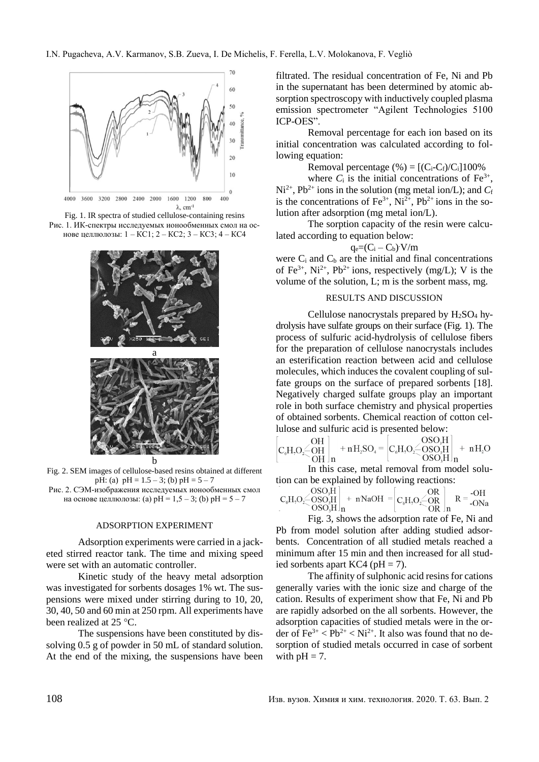

Fig. 1. IR spectra of studied cellulose-containing resins Рис. 1. ИК-спектры исследуемых ионообменных смол на основе целлюлозы: 1 – КС1; 2 – КС2; 3 – КС3; 4 – КС4



Fig. 2. SEM images of cellulose-based resins obtained at different pH: (a)  $pH = 1.5 - 3$ ; (b)  $pH = 5 - 7$ Рис. 2. СЭМ-изображения исследуемых ионообменных смол на основе целлюлозы: (а)  $pH = 1, 5 - 3$ ; (b)  $pH = 5 - 7$ 

# ADSORPTION EXPERIMENT

Adsorption experiments were carried in a jacketed stirred reactor tank. The time and mixing speed were set with an automatic controller.

Kinetic study of the heavy metal adsorption was investigated for sorbents dosages 1% wt. The suspensions were mixed under stirring during to 10, 20, 30, 40, 50 and 60 min at 250 rpm. All experiments have been realized at 25 °C.

The suspensions have been constituted by dissolving 0.5 g of powder in 50 mL of standard solution. At the end of the mixing, the suspensions have been filtrated. The residual concentration of Fe, Ni and Pb in the supernatant has been determined by atomic absorption spectroscopy with inductively coupled plasma emission spectrometer "Agilent Technologies 5100 ICP-OES".

Removal percentage for each ion based on its initial concentration was calculated according to following equation:

Removal percentage  $(\% ) = [(C_i-C_f)/C_i]100\%$ 

where  $C_i$  is the initial concentrations of  $Fe^{3+}$ ,  $Ni^{2+}$ ,  $Pb^{2+}$  ions in the solution (mg metal ion/L); and  $C_f$ is the concentrations of Fe<sup>3+</sup>, Ni<sup>2+</sup>, Pb<sup>2+</sup> ions in the solution after adsorption (mg metal ion/L).

The sorption capacity of the resin were calculated according to equation below:

 $q_e = (C_i - C_b)$  V/m

were  $C_i$  and  $C_b$  are the initial and final concentrations of Fe<sup>3+</sup>, Ni<sup>2+</sup>, Pb<sup>2+</sup> ions, respectively (mg/L); V is the volume of the solution, L; m is the sorbent mass, mg.

#### RESULTS AND DISCUSSION

Cellulose nanocrystals prepared by  $H_2SO_4$  hydrolysis have sulfate groups on their surface (Fig. 1). The process of sulfuric acid-hydrolysis of cellulose fibers for the preparation of cellulose nanocrystals includes an esterification reaction between acid and cellulose molecules, which induces the covalent coupling of sulfate groups on the surface of prepared sorbents [18]. Negatively charged sulfate groups play an important role in both surface chemistry and physical properties of obtained sorbents. Chemical reaction of cotton cellulose and sulfuric acid is presented below:

$$
\begin{bmatrix}\n\text{O}H \\
\text{C}_6\text{H}_7\text{O}_2\text{O}H \\
\text{OH} \\
\text{OH}\n\end{bmatrix}_{\text{n}} + n\text{H}_2\text{SO}_4 = \begin{bmatrix}\n\text{O}_6\text{H}_7\text{O}_2\text{O}_3\text{O}_3\text{H} \\
\text{O}_6\text{H}_7\text{O}_2\text{O}_3\text{O}_3\text{H} \\
\text{O} & \text{O}_3\text{O}_3\text{H}\n\end{bmatrix}_{\text{n}} + n\text{H}_2\text{O}
$$

In this case, metal removal from model solution can be explained by following reactions:

$$
C_6H_2O \leq \begin{bmatrix} OSO_3H \\ OSO_3H \\ OSO_3H \end{bmatrix}_n + nNaOH = \begin{bmatrix} OR \\ C_6H_2O \leq \begin{bmatrix} OR \\ OR \end{bmatrix}_n & R = -OH \\ OR \end{bmatrix}_n
$$

Fig. 3, shows the adsorption rate of Fe, Ni and Pb from model solution after adding studied adsorbents. Concentration of all studied metals reached a minimum after 15 min and then increased for all studied sorbents apart KC4 ( $pH = 7$ ).

The affinity of sulphonic acid resins for cations generally varies with the ionic size and charge of the cation. Results of experiment show that Fe, Ni and Pb are rapidly adsorbed on the all sorbents. However, the adsorption capacities of studied metals were in the order of  $\text{Fe}^{3+} < \text{Pb}^{2+} < \text{Ni}^{2+}$ . It also was found that no desorption of studied metals occurred in case of sorbent with  $pH = 7$ .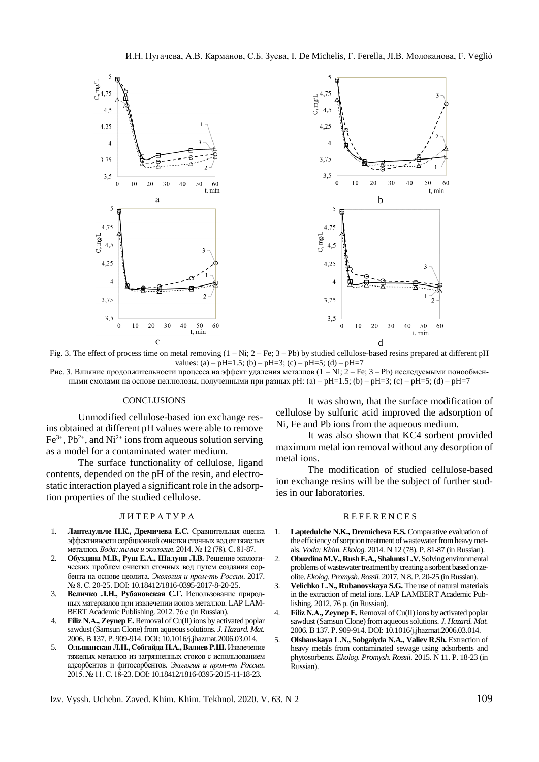

Fig. 3. The effect of process time on metal removing (1 – Ni; 2 – Fe; 3 – Pb) by studied cellulose-based resins prepared at different pH values: (a) – pH=1.5; (b) – pH=3; (c) – pH=5; (d) – pH=7 Рис. 3. Влияние продолжительности процесса на эффект удаления металлов (1 – Ni; 2 – Fe; 3 – Pb) исследуемыми ионообмен-

ными смолами на основе целлюлозы, полученными при разных рН: (a) – pH=1.5; (b) – pH=3; (c) – pH=5; (d) – pH=7

#### **CONCLUSIONS**

Unmodified cellulose-based ion exchange resins obtained at different pH values were able to remove  $Fe^{3+}$ ,  $Pb^{2+}$ , and Ni<sup>2+</sup> ions from aqueous solution serving as a model for a contaminated water medium.

The surface functionality of cellulose, ligand contents, depended on the pH of the resin, and electrostatic interaction played a significant role in the adsorption properties of the studied cellulose.

#### Л И Т Е Р А Т У Р А

- 1. **Лаптедульче Н.К., Дремичева Е.С.** Сравнительная оценка эффективности сорбционной очистки сточных вод от тяжелых металлов. *Вода: химия и экология*. 2014. № 12 (78). С. 81-87.
- 2. **Обуздина М.В., Руш Е.А., Шалунц Л.В.** Решение экологических проблем очистки сточных вод путем создания сорбента на основе цеолита. *Экология и пром-ть России*. 2017. № 8. С. 20-25. DOI: 10.18412/1816-0395-2017-8-20-25.
- 3. **Величко Л.Н., Рубановская С.Г.** Использование природных материалов при извлечении ионов металлов. LAP LAM-BERT Academic Publishing. 2012. 76 с (in Russian).
- 4. **Filiz N.А., ZeynepE.** Removal of Cu(II) ions by activated poplar sawdust (Samsun Clone) from aqueous solutions. *J. Hazard. Mat.* 2006. B 137. Р. 909-914. DOI: 10.1016/j.jhazmat.2006.03.014.
- 5. **Ольшанская Л.Н., Собгайда Н.А., Валиев Р.Ш.** Извлечение тяжелых металлов из загрязненных стоков с использованием адсорбентов и фитосорбентов. *Экология и пром-ть России*. 2015. № 11. С. 18-23. DOI: 10.18412/1816-0395-2015-11-18-23.

It was shown, that the surface modification of cellulose by sulfuric acid improved the adsorption of Ni, Fe and Pb ions from the aqueous medium.

It was also shown that KC4 sorbent provided maximum metal ion removal without any desorption of metal ions.

The modification of studied cellulose-based ion exchange resins will be the subject of further studies in our laboratories.

#### **REFERENCES**

- 1. **Laptedulche N.K., Dremicheva E.S.** Comparative evaluation of the efficiency of sorption treatment of wastewater from heavy metals. *Voda: Khim. Ekolog.* 2014. N 12 (78). P. 81-87 (in Russian).
- 2. **ObuzdinaM.V., Rush E.A., Shalunts L.V.**Solving environmental problems of wastewater treatment by creating a sorbent based on zeolite. *Ekolog. Promysh. Rossii.* 2017. N 8. P. 20-25 (in Russian).
- 3. **Velichko L.N., Rubanovskaya S.G.** The use of natural materials in the extraction of metal ions. LAP LAMBERT Academic Publishing. 2012. 76 p. (in Russian).
- 4. **Filiz N.А., Zeynep E.** Removal of Cu(II) ions by activated poplar sawdust (Samsun Clone) from aqueous solutions. *J. Hazard. Mat.* 2006. B 137. Р. 909-914. DOI: 10.1016/j.jhazmat.2006.03.014.
- 5. **Olshanskaya L.N., Sobgaiyda N.A., Valiev R.Sh.** Extraction of heavy metals from contaminated sewage using adsorbents and phytosorbents. *Ekolog. Promysh. Rossii.* 2015. N 11. P. 18-23 (in Russian).

Izv. Vyssh. Uchebn. Zaved. Khim. Khim. Tekhnol. 2020. V. 63. N 2 109